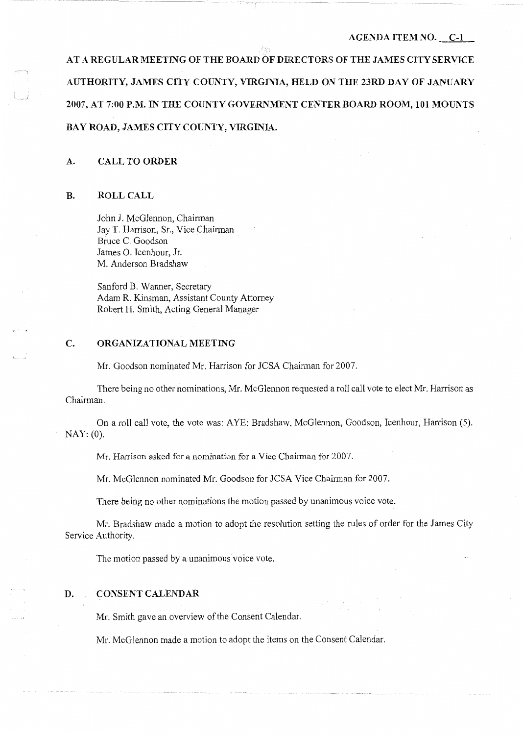### AGENDA ITEM NO. C-1

AT A REGULAR MEETING OF THE BOARD OF DIRECTORS OF THE JAMES CITY SERVICE AUTHORITY, JAMES CITY COUNTY, VIRGINIA, HELD ON THE 23RD DAY OF JANUARY 2007, AT 7:00 P.M. IN THE COUNTY GOVERNMENT CENTER BOARD ROOM, 101 MOUNTS BAY ROAD, JAMES CITY COUNTY, VIRGINIA.

# A. CALL TO ORDER

#### B. ROLL CALL

 $\Gamma^{\rm even}$ 

- \_I

John J. McGlennon, Chairman Jay T. Harrison, Sr., Vice Chairman Bruce C. Goodson James 0. Icenhour, Jr. M. Anderson Bradshaw

Sanford B. Wanner, Secretary Adam R. Kinsman, Assistant County Attorney Robert H. Smith, Acting General Manager

#### C. ORGANIZATIONAL MEETING

Mr. Goodson nominated Mr. Harrison for JCSA Chairman for 2007.

There being no other nominations, Mr. McGlennon requested a roll call vote to elect Mr. Harrison as Chairman.

On a roll call vote, the vote was: AYE: Bradshaw, McGlennon, Goodson, Icenhour, Harrison (5). NAY: (0).

Mr. Harrison asked for a nomination for a Vice Chairman for 2007.

Mr. McGlennon nominated Mr. Goodson for JCSA Vice Chairman for 2007.

There being no other nominations the motion passed by unanimous voice vote.

Mr. Bradshaw made a motion to adopt the resolution setting the rules of order for the James City Service Authority.

The motion passed by a unanimous voice vote.

## D. CONSENT CALENDAR

Mr. Smith gave an overview of the Consent Calendar.

Mr. McGlennon made a motion to adopt the items on the Consent Calendar.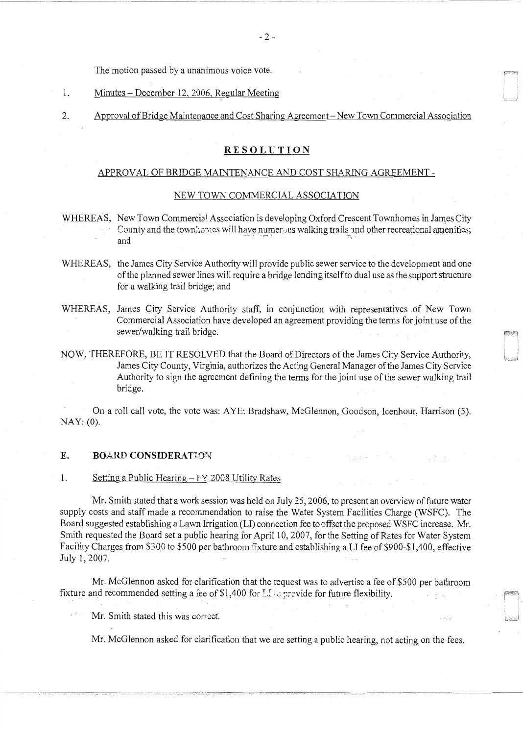The motion passed by a unanimous voice vote.

- 1. Minutes December 12, 2006, Regular Meeting
- 2. Approval of Bridge Maintenance and Cost Sharing Agreement- New Town Commercial Association

# **RESOLUTION**

## APPROVAL OF BRIDGE MAINTENANCE AND COST SHARING AGREEMENT -

# NEW TOWN COMMERCIAL ASSOCIATION

- WHEREAS, New Town Commercial Association is developing Oxford Crescent Townhomes in James City County and the town homes will have numerous walking trails and other recreational amenities; and
- WHEREAS, the James City Service Authority will provide public sewer service to the development and one of the planned sewer lines will require a bridge lending itself to dual use as the support structure for a walking trail bridge; and
- WHEREAS, James City Service Authority staff, in conjunction with representatives of New Town Commercial Association have developed an agreement providing the terms for joint use of the sewer/walking trail bridge.
- NOW, THEREFORE, BE IT RESOLVED that the Board of Directors of the James City Service Authority, James City County, Virginia, authorizes the Acting General Manager of the James City Service Authority to sign the agreement defining the terms for the joint use of the sewer walking trail bridge.

On a roll call vote, the vote was: AYE: Bradshaw, McGlennon, Goodson, Icenhour, Harrison (5). NAY: (0).

العائرون

# E. BOARD CONSIDERATION

1. Setting a Public Hearing – FY 2008 Utility Rates

Mr. Smith stated that a work session was held on July 25, 2006, to present an overview of future water supply costs and staff made a recommendation to raise the Water System Facilities Charge (WSFC). The Board suggested establishing a Lawn Irrigation (LI) connection fee to offset the proposed WSFC increase. Mr. Smith requested the Board set a public hearing for April 10, 2007, for the Setting of Rates for Water System Facility Charges from \$300 to \$500 per bathroom fixture and establishing a LI fee of \$900-\$1,400, effective July 1, 2007.

Mr. McGlennon asked for clarification that the request was to advertise a fee of \$500 per bathroom fixture and recommended setting a fee of \$1,400 for LI to provide for future flexibility.  $\langle \cdot \rangle_{\rm{max}}$ 

Mr. Smith stated this was correct.

 $\sim$  8

Mr. McGlennon asked for clarification that we are setting a public hearing, not acting on the fees.

·------------------------------------

بديدة

도토로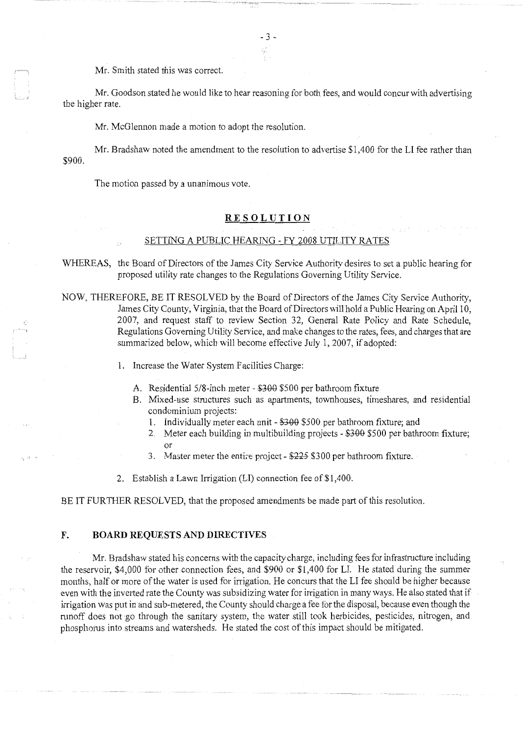Mr. Smith stated this was correct.

Mr. Goodson stated he would like to hear reasoning for both fees, and would concur with advertising the higher rate.

- 3 -

Mr. McGlennon made a motion to adopt the resolution.

Mr. Bradshaw noted the amendment to the resolution to advertise \$1,400 for the LI fee rather than \$900.

The motion passed by a unanimous vote.

# **RESOLUTION**

#### SETTING A PUBLIC HEARING - FY 2008 UTILITY RATES

WHEREAS, the Board of Directors of the James City Service Authority desires to set a public hearing for proposed utility rate changes to the Regulations Governing Utility Service.

NOW, THEREFORE, BE IT RESOLVED by the Board of Directors of the James City Service Authority, James City County, Virginia, that the Board of Directors will hold a Public Hearing on April 10, 2007, and request staff to review Section 32, General Rate Policy and Rate Schedule, Regulations Governing Utility Service, and make changes to the rates, fees, and charges that are summarized below, which will become effective July 1, 2007, if adopted:

- l. Increase the Water System Facilities Charge:
	- A. Residential 5/8-inch meter \$300 \$500 per bathroom fixture
	- B. Mixed-use structures such as apartments, townhouses, timeshares, and residential condominium projects:
		- 1. Individually meter each unit \$300 \$500 per bathroom fixture; and
		- 2. Meter each building in multibuilding projects \$300 \$500 per bathroom fixture; or
		- 3. Master meter the entire project \$225 \$300 per bathroom fixture.
- 2. Establish a Lawn Irrigation (LI) connection fee of \$1,400.

BE IT FURTHER RESOLVED, that the proposed amendments be made part of this resolution.

## **F. BOARD REQUESTS AND DIRECTIVES**

Mr. Bradshaw stated his concerns with the capacity charge, including fees for infrastructure including the reservoir, \$4,000 for other connection fees, and \$900 or \$1,400 for LI. He stated during the summer months, half or more of the water is used for irrigation. He concurs that the LI fee should be higher because even with the inverted rate the County was subsidizing water for irrigation in many ways. He also stated that if irrigation was put in and sub-metered, the County should charge a fee for the disposal, because even though the runoff does not go through the sanitary system, the water still took herbicides, pesticides, nitrogen, and phosphorus into streams and watersheds. He stated the cost of this impact should be mitigated.